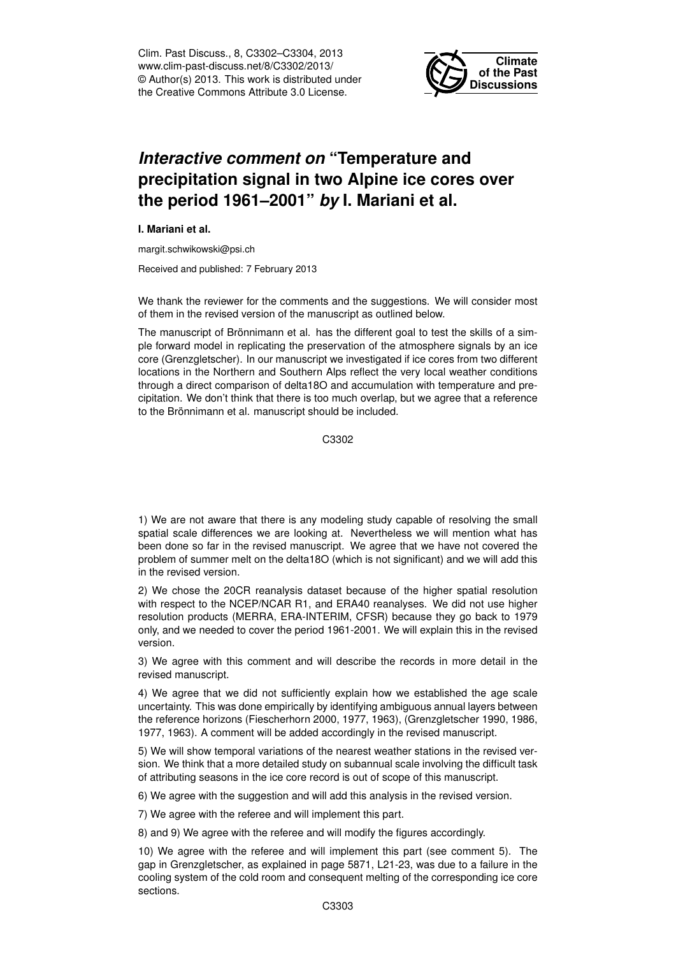Clim. Past Discuss., 8, C3302–C3304, 2013 www.clim-past-discuss.net/8/C3302/2013/ © Author(s) 2013. This work is distributed under the Creative Commons Attribute 3.0 License.



## *Interactive comment on* **"Temperature and precipitation signal in two Alpine ice cores over the period 1961–2001"** *by* **I. Mariani et al.**

**I. Mariani et al.**

margit.schwikowski@psi.ch

Received and published: 7 February 2013

We thank the reviewer for the comments and the suggestions. We will consider most of them in the revised version of the manuscript as outlined below.

The manuscript of Brönnimann et al. has the different goal to test the skills of a simple forward model in replicating the preservation of the atmosphere signals by an ice core (Grenzgletscher). In our manuscript we investigated if ice cores from two different locations in the Northern and Southern Alps reflect the very local weather conditions through a direct comparison of delta18O and accumulation with temperature and precipitation. We don't think that there is too much overlap, but we agree that a reference to the Brönnimann et al. manuscript should be included.

C3302

1) We are not aware that there is any modeling study capable of resolving the small spatial scale differences we are looking at. Nevertheless we will mention what has been done so far in the revised manuscript. We agree that we have not covered the problem of summer melt on the delta18O (which is not significant) and we will add this in the revised version.

2) We chose the 20CR reanalysis dataset because of the higher spatial resolution with respect to the NCEP/NCAR R1, and ERA40 reanalyses. We did not use higher resolution products (MERRA, ERA-INTERIM, CFSR) because they go back to 1979 only, and we needed to cover the period 1961-2001. We will explain this in the revised version.

3) We agree with this comment and will describe the records in more detail in the revised manuscript.

4) We agree that we did not sufficiently explain how we established the age scale uncertainty. This was done empirically by identifying ambiguous annual layers between the reference horizons (Fiescherhorn 2000, 1977, 1963), (Grenzgletscher 1990, 1986, 1977, 1963). A comment will be added accordingly in the revised manuscript.

5) We will show temporal variations of the nearest weather stations in the revised version. We think that a more detailed study on subannual scale involving the difficult task of attributing seasons in the ice core record is out of scope of this manuscript.

6) We agree with the suggestion and will add this analysis in the revised version.

7) We agree with the referee and will implement this part.

8) and 9) We agree with the referee and will modify the figures accordingly.

10) We agree with the referee and will implement this part (see comment 5). The gap in Grenzgletscher, as explained in page 5871, L21-23, was due to a failure in the cooling system of the cold room and consequent melting of the corresponding ice core sections.